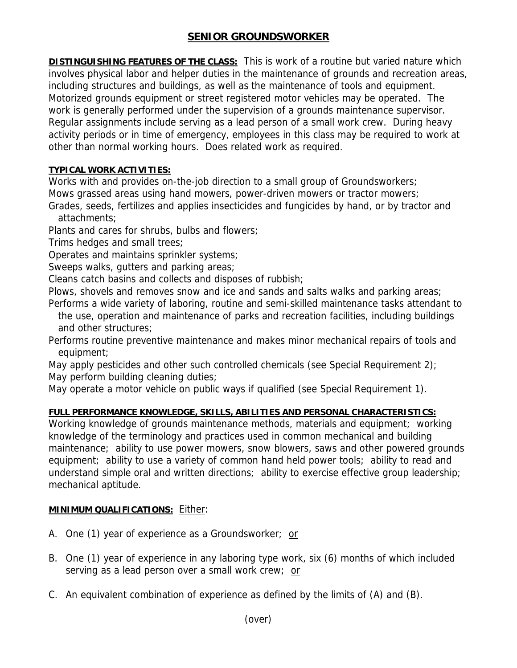# **SENIOR GROUNDSWORKER**

**DISTINGUISHING FEATURES OF THE CLASS:** This is work of a routine but varied nature which involves physical labor and helper duties in the maintenance of grounds and recreation areas, including structures and buildings, as well as the maintenance of tools and equipment. Motorized grounds equipment or street registered motor vehicles may be operated. The work is generally performed under the supervision of a grounds maintenance supervisor. Regular assignments include serving as a lead person of a small work crew. During heavy activity periods or in time of emergency, employees in this class may be required to work at other than normal working hours. Does related work as required.

## **TYPICAL WORK ACTIVITIES:**

Works with and provides on-the-job direction to a small group of Groundsworkers; Mows grassed areas using hand mowers, power-driven mowers or tractor mowers;

Grades, seeds, fertilizes and applies insecticides and fungicides by hand, or by tractor and attachments;

Plants and cares for shrubs, bulbs and flowers;

Trims hedges and small trees;

Operates and maintains sprinkler systems;

Sweeps walks, gutters and parking areas;

Cleans catch basins and collects and disposes of rubbish;

Plows, shovels and removes snow and ice and sands and salts walks and parking areas;

Performs a wide variety of laboring, routine and semi-skilled maintenance tasks attendant to the use, operation and maintenance of parks and recreation facilities, including buildings and other structures;

Performs routine preventive maintenance and makes minor mechanical repairs of tools and equipment;

May apply pesticides and other such controlled chemicals (see Special Requirement 2); May perform building cleaning duties;

May operate a motor vehicle on public ways if qualified (see Special Requirement 1).

### **FULL PERFORMANCE KNOWLEDGE, SKILLS, ABILITIES AND PERSONAL CHARACTERISTICS:**

Working knowledge of grounds maintenance methods, materials and equipment; working knowledge of the terminology and practices used in common mechanical and building maintenance; ability to use power mowers, snow blowers, saws and other powered grounds equipment; ability to use a variety of common hand held power tools; ability to read and understand simple oral and written directions; ability to exercise effective group leadership; mechanical aptitude.

### **MINIMUM QUALIFICATIONS:** Either:

- A. One (1) year of experience as a Groundsworker; or
- B. One (1) year of experience in any laboring type work, six (6) months of which included serving as a lead person over a small work crew; or
- C. An equivalent combination of experience as defined by the limits of (A) and (B).